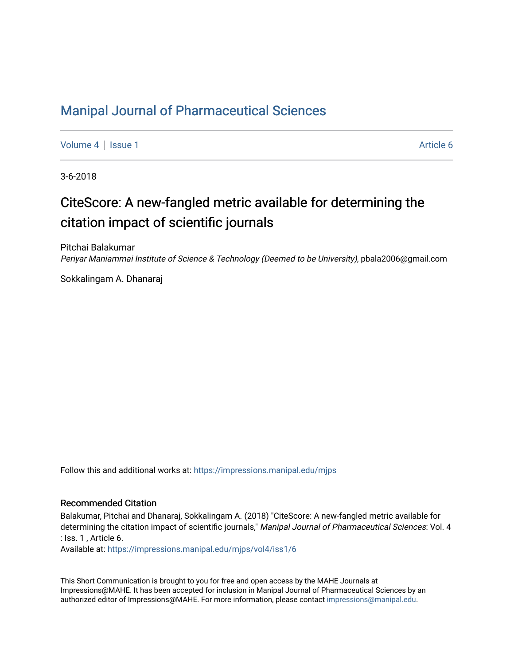### [Manipal Journal of Pharmaceutical Sciences](https://impressions.manipal.edu/mjps)

[Volume 4](https://impressions.manipal.edu/mjps/vol4) | [Issue 1](https://impressions.manipal.edu/mjps/vol4/iss1) Article 6

3-6-2018

## CiteScore: A new-fangled metric available for determining the citation impact of scientific journals

Pitchai Balakumar Periyar Maniammai Institute of Science & Technology (Deemed to be University), pbala2006@gmail.com

Sokkalingam A. Dhanaraj

Follow this and additional works at: [https://impressions.manipal.edu/mjps](https://impressions.manipal.edu/mjps?utm_source=impressions.manipal.edu%2Fmjps%2Fvol4%2Fiss1%2F6&utm_medium=PDF&utm_campaign=PDFCoverPages)

#### Recommended Citation

Balakumar, Pitchai and Dhanaraj, Sokkalingam A. (2018) "CiteScore: A new-fangled metric available for determining the citation impact of scientific journals," Manipal Journal of Pharmaceutical Sciences: Vol. 4 : Iss. 1 , Article 6.

Available at: [https://impressions.manipal.edu/mjps/vol4/iss1/6](https://impressions.manipal.edu/mjps/vol4/iss1/6?utm_source=impressions.manipal.edu%2Fmjps%2Fvol4%2Fiss1%2F6&utm_medium=PDF&utm_campaign=PDFCoverPages)

This Short Communication is brought to you for free and open access by the MAHE Journals at Impressions@MAHE. It has been accepted for inclusion in Manipal Journal of Pharmaceutical Sciences by an authorized editor of Impressions@MAHE. For more information, please contact [impressions@manipal.edu.](mailto:impressions@manipal.edu)